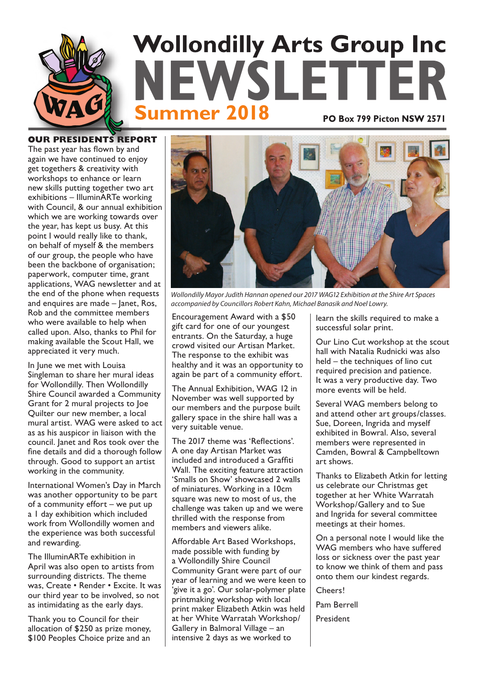

**OUR PRESIDENTS REPORT** The past year has flown by and again we have continued to enjoy get togethers & creativity with workshops to enhance or learn new skills putting together two art exhibitions – IlluminARTe working with Council, & our annual exhibition which we are working towards over the year, has kept us busy. At this point I would really like to thank, on behalf of myself & the members of our group, the people who have been the backbone of organisation; paperwork, computer time, grant applications, WAG newsletter and at the end of the phone when requests and enquires are made – Janet, Ros, Rob and the committee members who were available to help when called upon. Also, thanks to Phil for making available the Scout Hall, we appreciated it very much.

In June we met with Louisa Singleman to share her mural ideas for Wollondilly. Then Wollondilly Shire Council awarded a Community Grant for 2 mural projects to Joe Quilter our new member, a local mural artist. WAG were asked to act as as his auspicor in liaison with the council. Janet and Ros took over the fine details and did a thorough follow through. Good to support an artist working in the community.

International Women's Day in March was another opportunity to be part of a community effort – we put up a 1 day exhibition which included work from Wollondilly women and the experience was both successful and rewarding.

The IlluminARTe exhibition in April was also open to artists from surrounding districts. The theme was, Create • Render • Excite. It was our third year to be involved, so not as intimidating as the early days.

Thank you to Council for their allocation of \$250 as prize money, \$100 Peoples Choice prize and an



Wollondilly Mayor Judith Hannan opened our 2017 WAG12 Exhibition at the Shire Art Spaces accompanied by Councillors Robert Kahn, Michael Banasik and Noel Lowry.

Encouragement Award with a \$50 gift card for one of our youngest entrants. On the Saturday, a huge crowd visited our Artisan Market. The response to the exhibit was healthy and it was an opportunity to again be part of a community effort.

The Annual Exhibition, WAG 12 in November was well supported by our members and the purpose built gallery space in the shire hall was a very suitable venue.

The 2017 theme was 'Reflections'. A one day Artisan Market was included and introduced a Graffiti Wall. The exciting feature attraction 'Smalls on Show' showcased 2 walls of miniatures. Working in a 10cm square was new to most of us, the challenge was taken up and we were thrilled with the response from members and viewers alike.

Affordable Art Based Workshops, made possible with funding by a Wollondilly Shire Council Community Grant were part of our year of learning and we were keen to 'give it a go'. Our solar-polymer plate printmaking workshop with local print maker Elizabeth Atkin was held at her White Warratah Workshop/ Gallery in Balmoral Village – an intensive 2 days as we worked to

learn the skills required to make a successful solar print.

Our Lino Cut workshop at the scout hall with Natalia Rudnicki was also held – the techniques of lino cut required precision and patience. It was a very productive day. Two more events will be held.

Several WAG members belong to and attend other art groups/classes. Sue, Doreen, Ingrida and myself exhibited in Bowral. Also, several members were represented in Camden, Bowral & Campbelltown art shows.

Thanks to Elizabeth Atkin for letting us celebrate our Christmas get together at her White Warratah Workshop/Gallery and to Sue and Ingrida for several committee meetings at their homes.

On a personal note I would like the WAG members who have suffered loss or sickness over the past year to know we think of them and pass onto them our kindest regards.

Cheers!

Pam Berrell

President